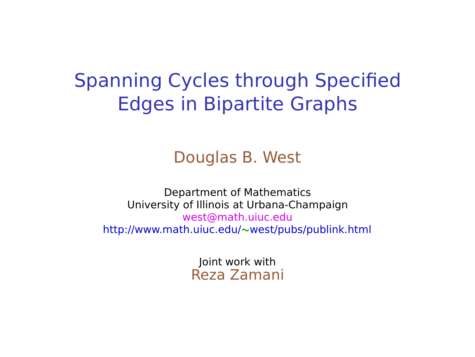### Spanning Cycles through Specified Edges in Bipartite Graphs

#### Douglas B. West

Department of Mathematics University of Illinois at Urbana-Champaign west@math.uiuc.edu http://www.math.uiuc.edu/**∼**west/pubs/publink.html

> Joint work with Reza Zamani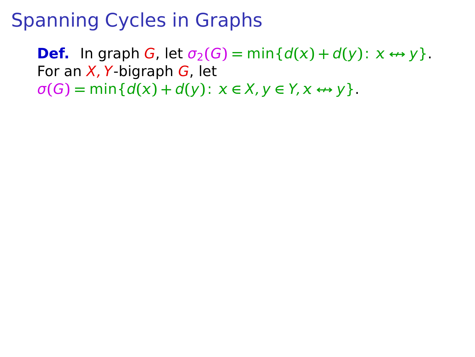**Def.** In graph G, let  $\sigma_2(G) = \min\{d(x) + d(y) : x \leftrightarrow y\}$ . For an  $X$ , Y-bigraph  $G$ , let  $\sigma(G) = \min\{d(x) + d(y): x \in X, y \in Y, x \leftrightarrow y\}.$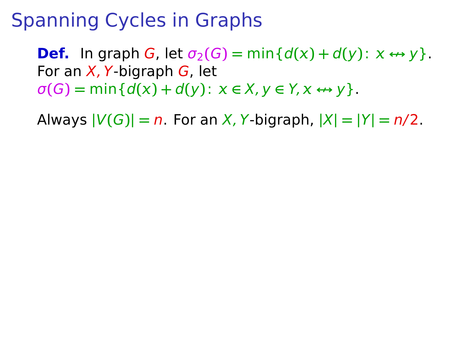**Def.** In graph G, let  $\sigma_2(G) = \min\{d(x) + d(y) : x \leftrightarrow y\}$ . For an  $X$ , Y-bigraph  $G$ , let  $\sigma(G) = \min\{d(x) + d(y) : x \in X, y \in Y, x \leftrightarrow y\}.$ 

Always  $|V(G)| = n$ . For an X, Y-bigraph,  $|X| = |Y| = n/2$ .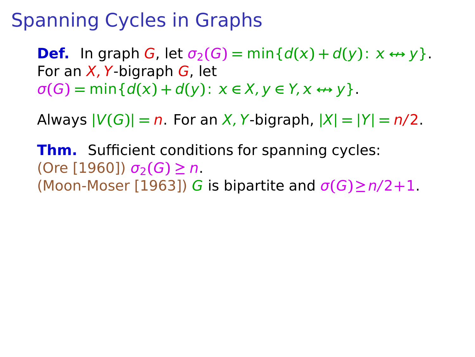**Def.** In graph G, let  $\sigma_2(G) = \min\{d(x) + d(y) : x \leftrightarrow y\}$ . For an  $X$ , Y-bigraph  $G$ , let  $\sigma(G) = \min\{d(x) + d(y) : x \in X, y \in Y, x \leftrightarrow y\}.$ 

Always  $|V(G)| = n$ . For an X, Y-bigraph,  $|X| = |Y| = n/2$ .

**Thm.** Sufficient conditions for spanning cycles: (Ore [1960]) σ2**(**G**) ≥** n. (Moon-Moser [1963]) G is bipartite and σ**(**G**)≥**n/2**+**1.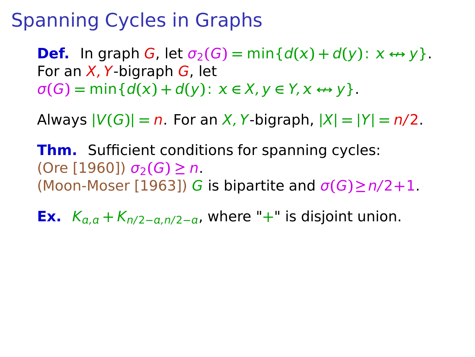**Def.** In graph G, let  $\sigma_2(G) = \min\{d(x) + d(y) : x \leftrightarrow y\}$ . For an  $X$ , Y-bigraph  $G$ , let  $\sigma(G) = \min\{d(x) + d(y) : x \in X, y \in Y, x \leftrightarrow y\}.$ 

Always  $|V(G)| = n$ . For an X, Y-bigraph,  $|X| = |Y| = n/2$ .

**Thm.** Sufficient conditions for spanning cycles:  $($ Ore [1960])  $σ_2(G) ≥ n$ . (Moon-Moser [1963]) G is bipartite and σ**(**G**)≥**n/2**+**1.

**Ex.**  $K_{a,q} + K_{n/2-a,n/2-a}$ , where "+" is disjoint union.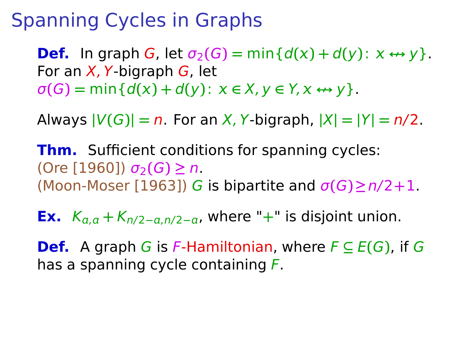**Def.** In graph G, let  $\sigma_2(G) = \min\{d(x) + d(y) : x \leftrightarrow y\}$ . For an  $X$ , Y-bigraph  $G$ , let  $\sigma(G) = \min\{d(x) + d(y) : x \in X, y \in Y, x \leftrightarrow y\}.$ 

Always  $|V(G)| = n$ . For an X, Y-bigraph,  $|X| = |Y| = n/2$ .

**Thm.** Sufficient conditions for spanning cycles: (Ore [1960]) σ2**(**G**) ≥** n. (Moon-Moser [1963]) G is bipartite and σ**(**G**)≥**n/2**+**1.

**Ex.**  $K_{a,a} + K_{n/2-a,n/2-a}$ , where "+" is disjoint union.

**Def.** A graph G is F-Hamiltonian, where  $F \subseteq E(G)$ , if G has a spanning cycle containing F.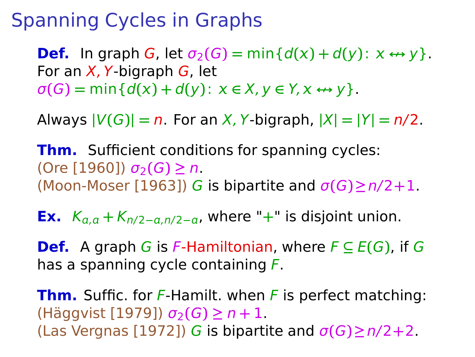**Def.** In graph G, let  $\sigma_2(G) = \min\{d(x) + d(y) : x \leftrightarrow y\}$ . For an  $X$ , Y-bigraph  $G$ , let  $\sigma(G) = \min\{d(x) + d(y) : x \in X, y \in Y, x \leftrightarrow y\}.$ 

Always  $|V(G)| = n$ . For an X, Y-bigraph,  $|X| = |Y| = n/2$ .

**Thm.** Sufficient conditions for spanning cycles:  $(Ore [1960]) σ<sub>2</sub>(G) ≥ n.$ (Moon-Moser [1963]) G is bipartite and σ**(**G**)≥**n/2**+**1.

**Ex.**  $K_{a,q} + K_{n/2-a,n/2-a}$ , where "+" is disjoint union.

**Def.** A graph G is F-Hamiltonian, where  $F \subseteq E(G)$ , if G has a spanning cycle containing F.

**Thm.** Suffic. for F-Hamilt. when F is perfect matching: (Häggvist [1979]) σ2**(**G**) ≥** n **+** 1. (Las Vergnas [1972]) G is bipartite and σ**(**G**)≥**n/2**+**2.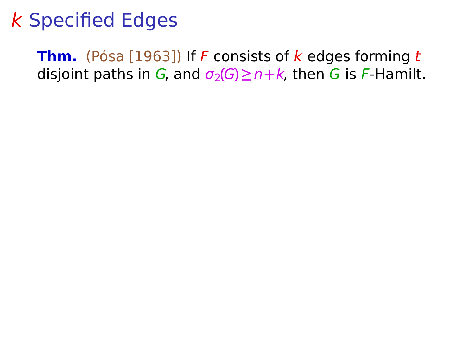**Thm.** (Pósa [1963]) If F consists of k edges forming t disjoint paths in G, and  $\sigma_2(G) \geq n+k$ , then G is F-Hamilt.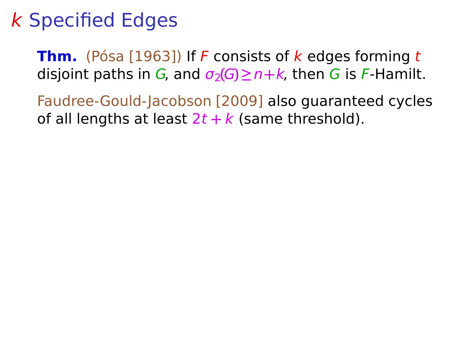**Thm.** (Pósa [1963]) If F consists of k edges forming t disjoint paths in G, and  $\sigma_2(G) \ge n+k$ , then G is F-Hamilt.

Faudree-Gould-Jacobson [2009] also guaranteed cycles of all lengths at least  $2t + k$  (same threshold).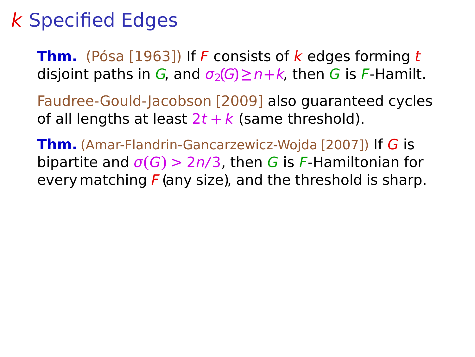**Thm.** (Pósa [1963]) If F consists of k edges forming t disjoint paths in G, and  $\sigma_2(G) \geq n+k$ , then G is F-Hamilt.

Faudree-Gould-Jacobson [2009] also guaranteed cycles of all lengths at least  $2t + k$  (same threshold).

**Thm.** (Amar-Flandrin-Gancarzewicz-Wojda [2007]) If G is bipartite and  $\sigma(G)$  > 2n/3, then G is F-Hamiltonian for every matching  $F$  (any size), and the threshold is sharp.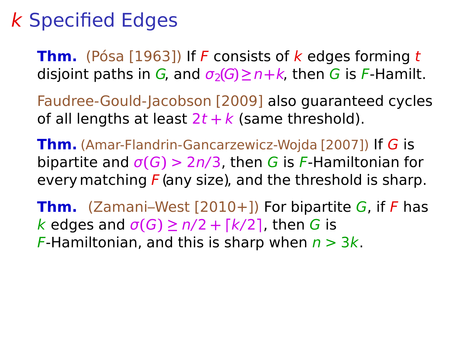**Thm.** (Pósa [1963]) If F consists of k edges forming t disjoint paths in G, and  $\sigma_2(G) \geq n+k$ , then G is F-Hamilt.

Faudree-Gould-Jacobson [2009] also guaranteed cycles of all lengths at least  $2t + k$  (same threshold).

**Thm.** (Amar-Flandrin-Gancarzewicz-Wojda [2007]) If G is bipartite and  $\sigma(G)$  > 2n/3, then G is F-Hamiltonian for every matching  $F$  (any size), and the threshold is sharp.

**Thm.** (Zamani–West [2010+]) For bipartite G, if F has  $k$  edges and  $\sigma(G) \ge n/2 + \lceil k/2 \rceil$ , then G is F-Hamiltonian, and this is sharp when  $n > 3k$ .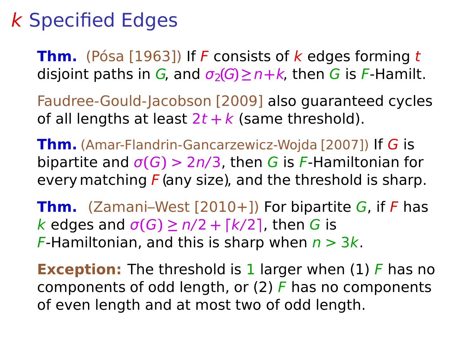**Thm.** (Pósa [1963]) If F consists of k edges forming t disjoint paths in G, and  $\sigma_2(G) \geq n+k$ , then G is F-Hamilt.

Faudree-Gould-Jacobson [2009] also guaranteed cycles of all lengths at least  $2t + k$  (same threshold).

**Thm.** (Amar-Flandrin-Gancarzewicz-Wojda [2007]) If G is bipartite and  $\sigma(G)$  > 2n/3, then G is F-Hamiltonian for every matching  $F$  (any size), and the threshold is sharp.

**Thm.** (Zamani–West [2010+]) For bipartite G, if F has  $k$  edges and  $\sigma(G) \ge n/2 + \lceil k/2 \rceil$ , then G is F-Hamiltonian, and this is sharp when  $n > 3k$ .

**Exception:** The threshold is 1 larger when (1) F has no components of odd length, or  $(2)$  F has no components of even length and at most two of odd length.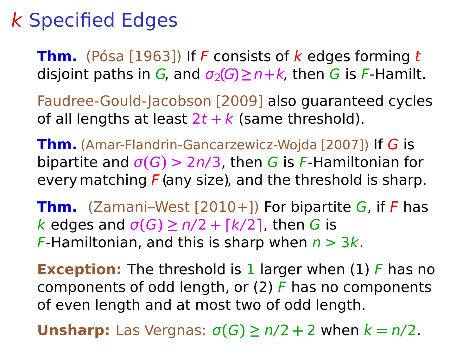**Thm.** (Pósa [1963]) If F consists of k edges forming t disjoint paths in G, and  $\sigma_2(G) \geq n+k$ , then G is F-Hamilt.

Faudree-Gould-Jacobson [2009] also guaranteed cycles of all lengths at least  $2t + k$  (same threshold).

**Thm.** (Amar-Flandrin-Gancarzewicz-Wojda [2007]) If G is bipartite and  $\sigma(G)$  > 2n/3, then G is F-Hamiltonian for every matching  $F$  (any size), and the threshold is sharp.

**Thm.** (Zamani–West [2010+]) For bipartite G, if F has  $k$  edges and  $\sigma(G) \ge n/2 + \lceil k/2 \rceil$ , then G is F-Hamiltonian, and this is sharp when  $n > 3k$ .

**Exception:** The threshold is 1 larger when (1) F has no components of odd length, or  $(2)$  F has no components of even length and at most two of odd length.

**Unsharp:** Las Vergnas:  $\sigma(G) \ge n/2 + 2$  when  $k = n/2$ .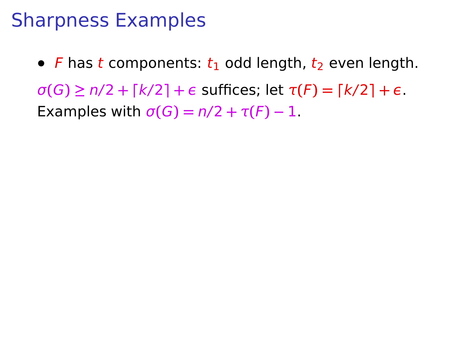#### Sharpness Examples

• F has t components:  $t_1$  odd length,  $t_2$  even length.  $\sigma(G) \ge n/2 + \lceil k/2 \rceil + \epsilon$  suffices; let  $\tau(F) = \lceil k/2 \rceil + \epsilon$ . Examples with  $\sigma(G) = n/2 + \tau(F) - 1$ .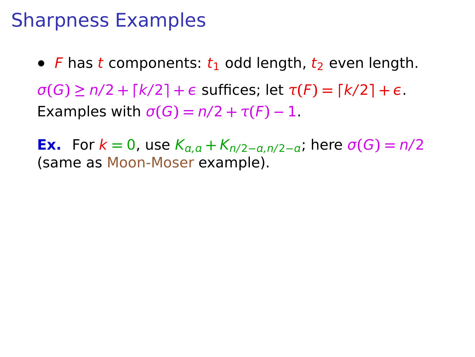#### Sharpness Examples

• F has t components:  $t_1$  odd length,  $t_2$  even length.  $\sigma(G) \ge n/2 + \lceil k/2 \rceil + \epsilon$  suffices; let  $\tau(F) = \lceil k/2 \rceil + \epsilon$ . **Examples with**  $\sigma(G) = n/2 + \tau(F) - 1$ **.** 

**Ex.** For  $k = 0$ , use  $K_{a,q} + K_{n/2-a,n/2-a}$ ; here  $\sigma(G) = n/2$ (same as Moon-Moser example).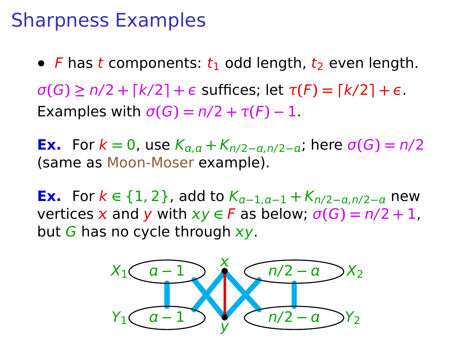#### Sharpness Examples

• F has t components:  $t_1$  odd length,  $t_2$  even length.  $\sigma(G) \ge n/2 + \lceil k/2 \rceil + \epsilon$  suffices; let  $\tau(F) = \lceil k/2 \rceil + \epsilon$ . **Examples with**  $\sigma(G) = n/2 + \tau(F) - 1$ **.** 

**Ex.** For  $k = 0$ , use  $K_{a,a} + K_{n/2-a,n/2-a}$ , here  $\sigma(G) = n/2$ (same as Moon-Moser example).

**Ex.** For  $k \in \{1, 2\}$ , add to  $K_{a-1,a-1} + K_{n/2-a,n/2-a}$  new vertices x and y with  $xy \in F$  as below;  $\sigma(G) = n/2 + 1$ , but G has no cycle through  $xy$ .

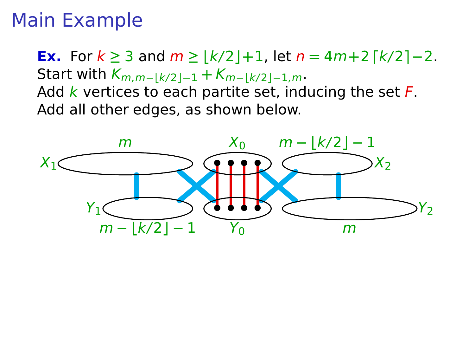### Main Example

**Ex.** For  $k \ge 3$  and  $m \ge |k/2|+1$ , let  $n = 4m+2$   $\lceil k/2 \rceil - 2$ . Start with  $K_{m,m−|k/2|-1} + K_{m−|k/2|-1,m}$ . Add  $k$  vertices to each partite set, inducing the set  $F$ . Add all other edges, as shown below.

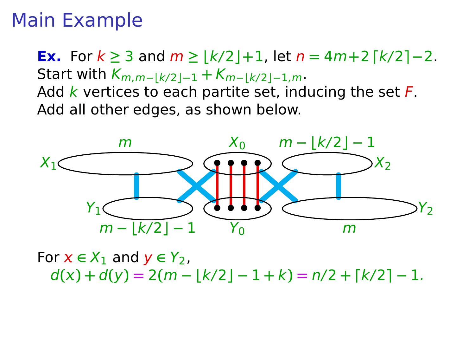### Main Example

**Ex.** For  $k \ge 3$  and  $m \ge |k/2|+1$ , let  $n = 4m+2$   $\lceil k/2 \rceil - 2$ . Start with  $K_{m,m−|k/2|-1} + K_{m−|k/2|-1,m}$ . Add  $k$  vertices to each partite set, inducing the set  $F$ . Add all other edges, as shown below.



For  $x \in X_1$  and  $y \in Y_2$ ,  $d(x) + d(y) = 2(m - |k/2| - 1 + k) = n/2 + (k/2) - 1$ .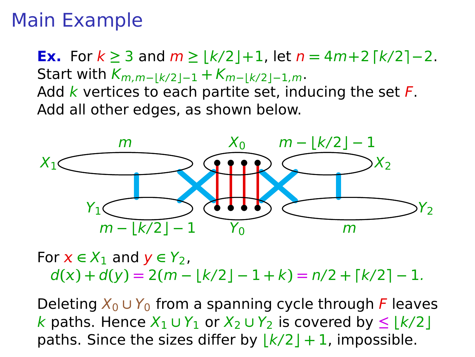### Main Example

**Ex.** For  $k \ge 3$  and  $m \ge |k/2|+1$ , let  $n = 4m+2$   $\lceil k/2 \rceil - 2$ . Start with  $K_{m,m−|k/2|-1} + K_{m−|k/2|-1,m}$ . Add  $k$  vertices to each partite set, inducing the set  $F$ . Add all other edges, as shown below.



For  $x \in X_1$  and  $y \in Y_2$ ,  $d(x) + d(y) = 2(m - |k/2| - 1 + k) = n/2 + |k/2| - 1$ .

Deleting  $X_0 \cup Y_0$  from a spanning cycle through F leaves k paths. Hence  $X_1 \cup Y_1$  or  $X_2 \cup Y_2$  is covered by ≤  $|k/2|$ paths. Since the sizes differ by  $\vert k/2 \vert + 1$ , impossible.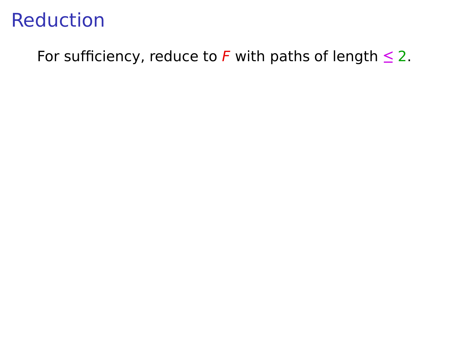For sufficiency, reduce to F with paths of length **≤** 2.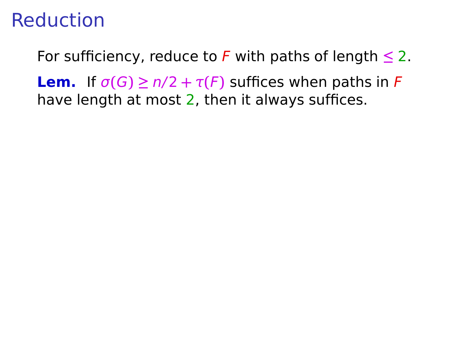For sufficiency, reduce to F with paths of length  $\leq 2$ .

**Lem.** If  $\sigma(G) \ge n/2 + \tau(F)$  suffices when paths in F have length at most 2, then it always suffices.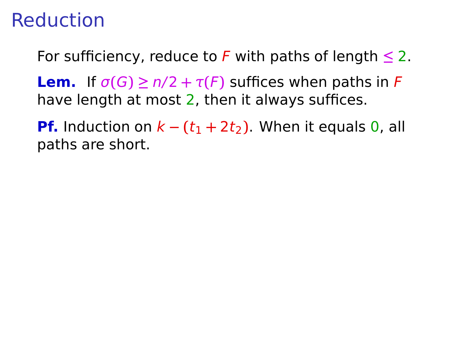For sufficiency, reduce to F with paths of length **≤** 2.

**Lem.** If  $\sigma(G) \ge n/2 + \tau(F)$  suffices when paths in F have length at most 2, then it always suffices.

**Pf.** Induction on  $k - (t_1 + 2t_2)$ . When it equals 0, all paths are short.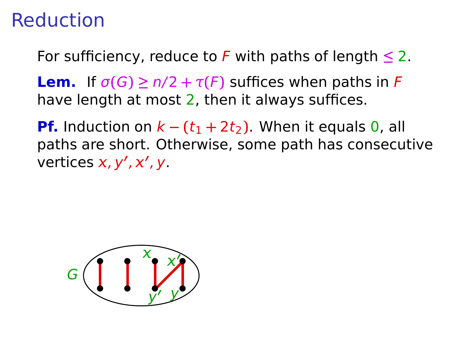For sufficiency, reduce to F with paths of length **≤** 2.

**Lem.** If  $\sigma(G) \ge n/2 + \tau(F)$  suffices when paths in F have length at most 2, then it always suffices.

**Pf.** Induction on  $k - (t_1 + 2t_2)$ . When it equals 0, all paths are short. Otherwise, some path has consecutive vertices *x*, *y'*, *x'*, *y*.

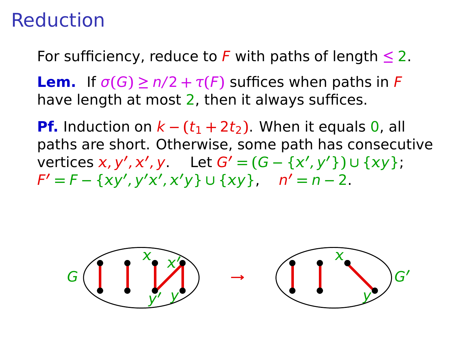For sufficiency, reduce to F with paths of length **≤** 2.

**Lem.** If  $\sigma(G) \ge n/2 + \tau(F)$  suffices when paths in F have length at most 2, then it always suffices.

**Pf.** Induction on  $k - (t_1 + 2t_2)$ . When it equals 0, all paths are short. Otherwise, some path has consecutive *∨***ertices** *x***,** *y'***,** *x'***,** *y* **Let** *G'* **= (***G* **− {***x'***,** *y'***}) ∪ {***xy***};**  $F' = F - \{xy', y'x', x'y\} \cup \{xy\}, \quad n' = n - 2.$ 

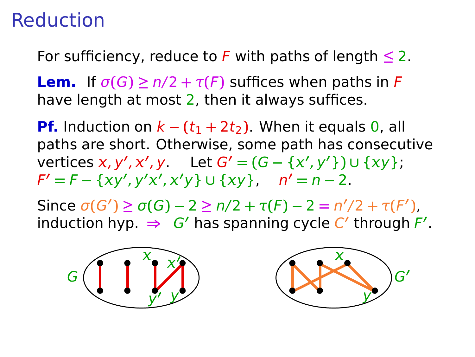For sufficiency, reduce to F with paths of length **≤** 2.

**Lem.** If  $\sigma(G) \ge n/2 + \tau(F)$  suffices when paths in F have length at most 2, then it always suffices.

**Pf.** Induction on  $k - (t_1 + 2t_2)$ . When it equals 0, all paths are short. Otherwise, some path has consecutive *∨***ertices** *x***,** *y'***,** *x'***,** *y* **Let** *G'* **= (***G* **− {***x'***,** *y'***}) ∪ {***xy***};**  $F' = F - \{xy', y'x', x'y\} \cup \{xy\}, \quad n' = n - 2.$ 

Since  $\sigma(G') \geq \sigma(G) - 2 \geq n/2 + \tau(F) - 2 = n'/2 + \tau(F')$ ,  $\mathsf{induction\ hyp.}\Rightarrow\mathsf{G}'\ \mathsf{has\ spanning\ cycle\ }\mathsf{C}'\ \mathsf{through\ }F'.$ 



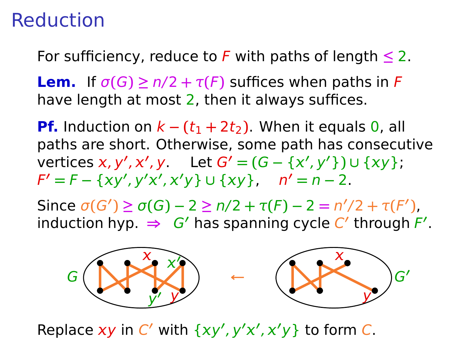For sufficiency, reduce to F with paths of length **≤** 2.

**Lem.** If  $\sigma(G) \ge n/2 + \tau(F)$  suffices when paths in F have length at most 2, then it always suffices.

**Pf.** Induction on  $k - (t_1 + 2t_2)$ . When it equals 0, all paths are short. Otherwise, some path has consecutive *∨***ertices** *x***,** *y'***,** *x'***,** *y* **Let** *G'* **= (***G* **− {***x'***,** *y'***}) ∪ {***xy***};**  $F' = F - \{xy', y'x', x'y\} \cup \{xy\}, \quad n' = n - 2.$ 

Since  $\sigma(G') \geq \sigma(G) - 2 \geq n/2 + \tau(F) - 2 = n'/2 + \tau(F')$ ,  $\mathsf{induction\ hyp.}\Rightarrow\mathsf{G}'\ \mathsf{has\ spanning\ cycle\ }\mathsf{C}'\ \mathsf{through\ }F'.$ 



Replace xy in C' with  $\{xy', y'x', x'y\}$  to form C.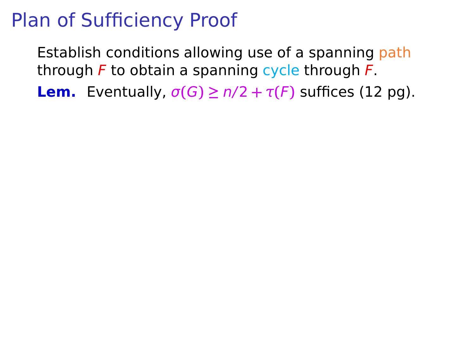Establish conditions allowing use of a spanning path through  $F$  to obtain a spanning cycle through  $F$ .

**Lem.** Eventually,  $\sigma(G) \ge n/2 + \tau(F)$  suffices (12 pg).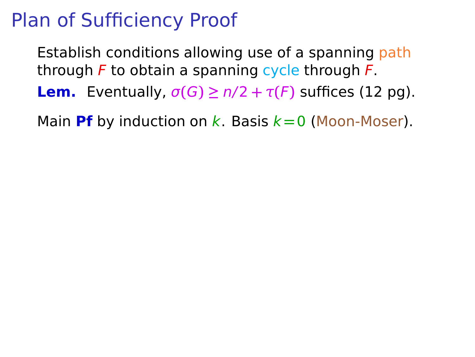Establish conditions allowing use of a spanning path through  $F$  to obtain a spanning cycle through  $F$ .

**Lem.** Eventually,  $\sigma(G) \ge n/2 + \tau(F)$  suffices (12 pg).

Main **Pf** by induction on k. Basis  $k = 0$  (Moon-Moser).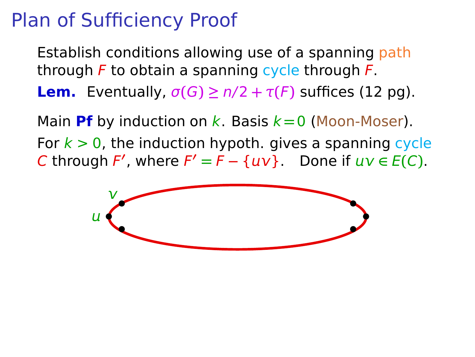Establish conditions allowing use of a spanning path through  $F$  to obtain a spanning cycle through  $F$ .

**Lem.** Eventually,  $\sigma(G) \ge n/2 + \tau(F)$  suffices (12 pg).

Main **Pf** by induction on k. Basis  $k = 0$  (Moon-Moser). For  $k > 0$ , the induction hypoth. gives a spanning cycle C through F', where  $F' = F - \{ uv \}$ . Done if  $uv \in E(C)$ .

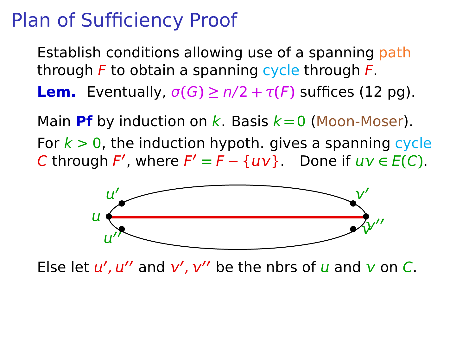Establish conditions allowing use of a spanning path through  $F$  to obtain a spanning cycle through  $F$ .

**Lem.** Eventually,  $\sigma(G) \ge n/2 + \tau(F)$  suffices (12 pg).

Main **Pf** by induction on k. Basis  $k = 0$  (Moon-Moser). For  $k > 0$ , the induction hypoth. gives a spanning cycle C through F', where  $F' = F - \{ uv \}$ . Done if  $uv \in E(C)$ .



Else let  $u'$ ,  $u''$  and  $v'$ ,  $v''$  be the nbrs of  $u$  and  $v$  on C.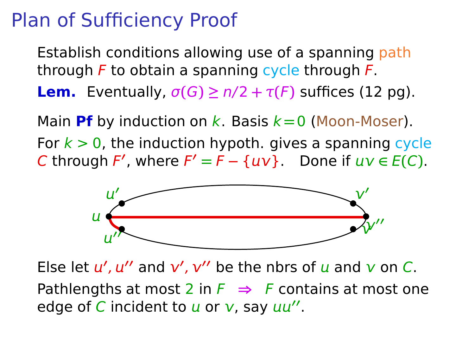Establish conditions allowing use of a spanning path through  $F$  to obtain a spanning cycle through  $F$ .

**Lem.** Eventually,  $\sigma(G) \ge n/2 + \tau(F)$  suffices (12 pg).

Main **Pf** by induction on  $k$ . Basis  $k = 0$  (Moon-Moser). For  $k > 0$ , the induction hypoth. gives a spanning cycle C through F', where  $F' = F - \{ uv \}$ . Done if  $uv \in E(C)$ .



Else let  $u'$ ,  $u''$  and  $v'$ ,  $v''$  be the nbrs of  $u$  and  $v$  on C. Pathlengths at most 2 in  $F \Rightarrow F$  contains at most one edge of C incident to u or v, say uu".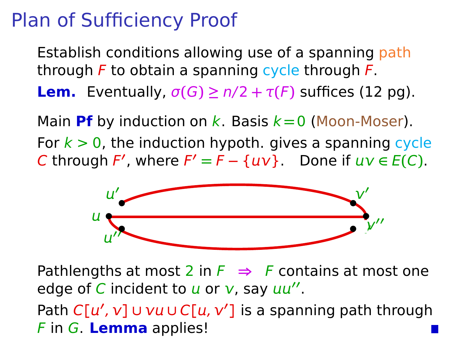Establish conditions allowing use of a spanning path through  $F$  to obtain a spanning cycle through  $F$ . **Lem.** Eventually,  $\sigma(G) \ge n/2 + \tau(F)$  suffices (12 pg).

Main **Pf** by induction on  $k$ . Basis  $k = 0$  (Moon-Moser). For  $k > 0$ , the induction hypoth. gives a spanning cycle C through F', where  $F' = F - \{ uv \}$ . Done if  $uv \in E(C)$ .



Pathlengths at most 2 in  $F \Rightarrow F$  contains at most one edge of C incident to u or v, say uu".

Path  $C[u', v]$  ∪  $vu$  ∪  $C[u, v']$  is a spanning path through F in G. **Lemma** applies!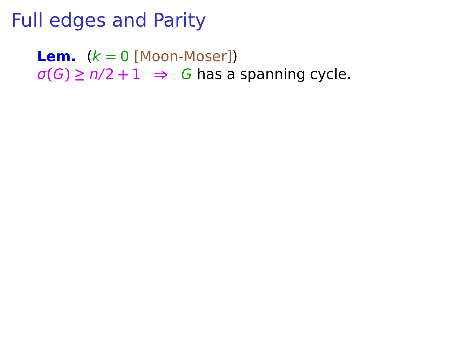**Lem.**  $(k = 0$  [Moon-Moser])  $\sigma(G) \ge n/2 + 1 \Rightarrow G$  has a spanning cycle.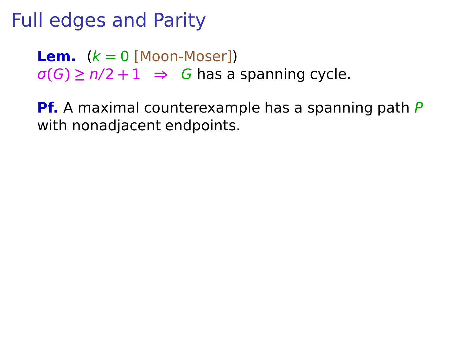**Lem.**  $(k = 0$  [Moon-Moser])  $\sigma(G) \ge n/2 + 1 \Rightarrow G$  has a spanning cycle.

**Pf.** A maximal counterexample has a spanning path P with nonadjacent endpoints.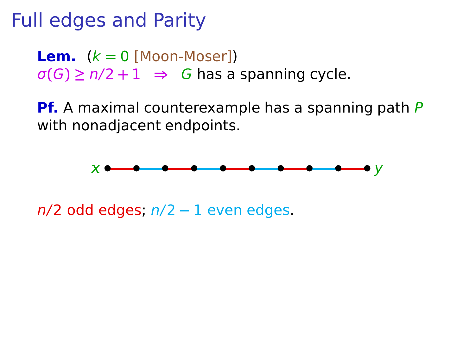**Lem.**  $(k = 0$  [Moon-Moser])  $\sigma(G) \ge n/2 + 1 \Rightarrow G$  has a spanning cycle.

**Pf.** A maximal counterexample has a spanning path P with nonadjacent endpoints.



n/2 odd edges; n/2 **−** 1 even edges.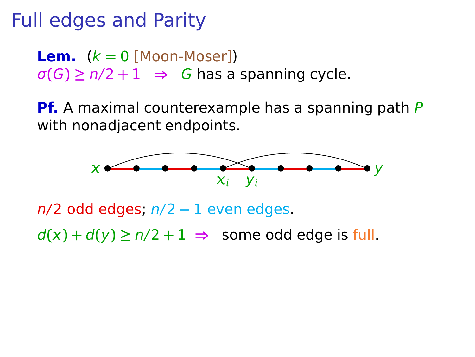**Lem.**  $(k = 0$  [Moon-Moser])  $\sigma(G) \ge n/2 + 1 \Rightarrow G$  has a spanning cycle.

**Pf.** A maximal counterexample has a spanning path P with nonadjacent endpoints.



n/2 odd edges; n/2 **−** 1 even edges.

 $d(x) + d(y) \ge n/2 + 1 \implies$  some odd edge is full.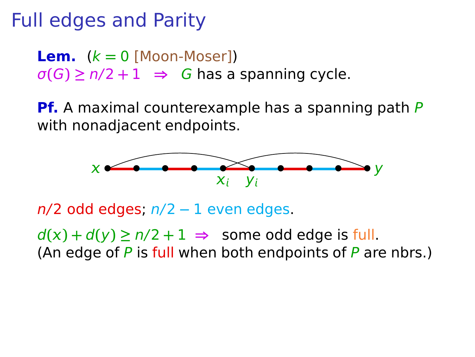**Lem.**  $(k = 0$  [Moon-Moser])  $\sigma(G) \ge n/2 + 1 \Rightarrow G$  has a spanning cycle.

**Pf.** A maximal counterexample has a spanning path P with nonadjacent endpoints.



n/2 odd edges; n/2 **−** 1 even edges.

 $d(x) + d(y) \ge n/2 + 1 \implies$  some odd edge is full. (An edge of  $P$  is full when both endpoints of  $P$  are nbrs.)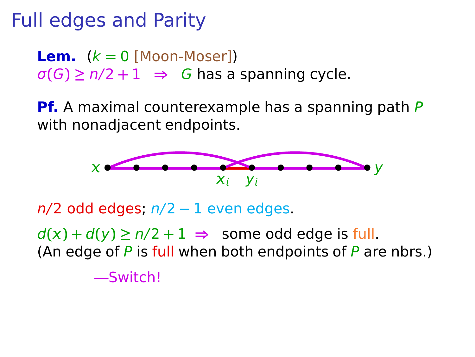**Lem.**  $(k = 0$  [Moon-Moser])  $\sigma(G) \ge n/2 + 1 \implies G$  has a spanning cycle.

**Pf.** A maximal counterexample has a spanning path P with nonadjacent endpoints.



n/2 odd edges; n/2 **−** 1 even edges.

 $d(x) + d(y) \ge n/2 + 1 \implies$  some odd edge is full. (An edge of  $P$  is full when both endpoints of  $P$  are nbrs.)

—Switch!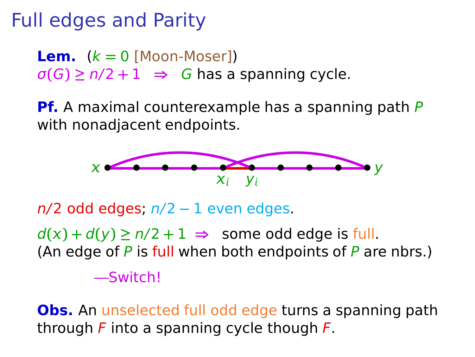**Lem.**  $(k = 0$  [Moon-Moser])  $\sigma(G) \ge n/2 + 1 \implies G$  has a spanning cycle.

**Pf.** A maximal counterexample has a spanning path P with nonadjacent endpoints.



n/2 odd edges; n/2 **−** 1 even edges.

 $d(x) + d(y) \ge n/2 + 1 \implies$  some odd edge is full. (An edge of  $P$  is full when both endpoints of  $P$  are nbrs.)

—Switch!

**Obs.** An unselected full odd edge turns a spanning path through  $F$  into a spanning cycle though  $F$ .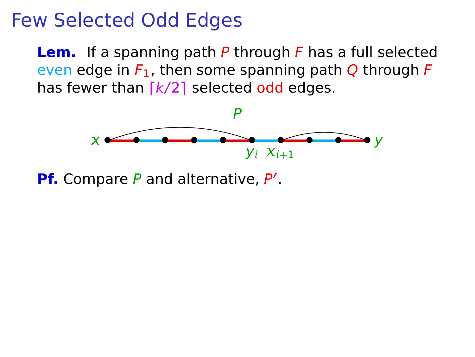**Lem.** If a spanning path P through F has a full selected even edge in  $F_1$ , then some spanning path O through F has fewer than  $\lceil k/2 \rceil$  selected odd edges.



**Pf.** Compare P and alternative, P'.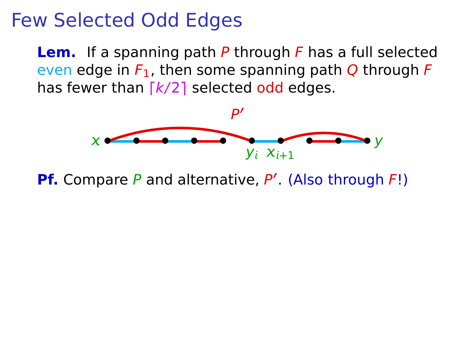**Lem.** If a spanning path P through F has a full selected even edge in  $F_1$ , then some spanning path Q through F has fewer than  $\lceil k/2 \rceil$  selected odd edges.



**Pf.** Compare P and alternative, P'. (Also through F!)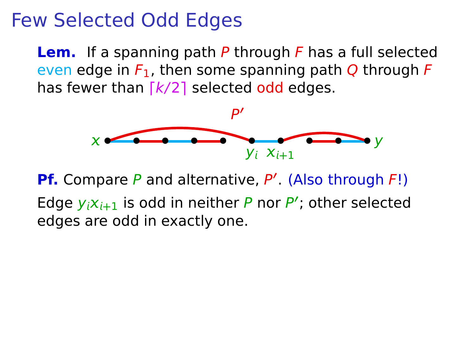**Lem.** If a spanning path P through F has a full selected even edge in  $F_1$ , then some spanning path Q through F has fewer than  $\lceil k/2 \rceil$  selected odd edges.



**Pf.** Compare P and alternative, P'. (Also through F!) Edge  $y_i x_{i+1}$  is odd in neither P nor P'; other selected edges are odd in exactly one.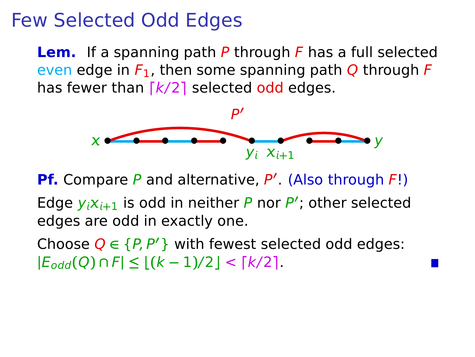**Lem.** If a spanning path P through F has a full selected even edge in  $F_1$ , then some spanning path Q through F has fewer than  $\lceil k/2 \rceil$  selected odd edges.



**Pf.** Compare P and alternative, P'. (Also through F!)

Edge  $y_i x_{i+1}$  is odd in neither P nor P'; other selected edges are odd in exactly one.

Choose  $Q \in \{P, P'\}$  with fewest selected odd edges:  $|E_{odd}(Q) \cap F|$  ≤  $|(k-1)/2|$  <  $\lceil k/2 \rceil$ .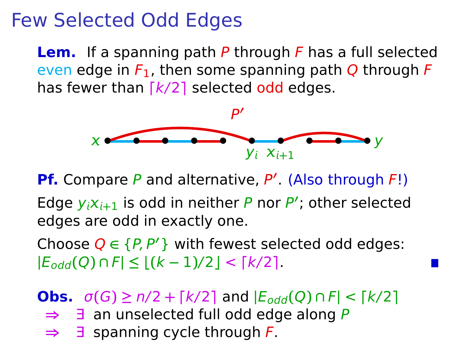**Lem.** If a spanning path P through F has a full selected even edge in  $F_1$ , then some spanning path Q through F has fewer than  $\lceil k/2 \rceil$  selected odd edges.



**Pf.** Compare P and alternative, P'. (Also through F!)

Edge  $y_i x_{i+1}$  is odd in neither P nor P'; other selected edges are odd in exactly one.

Choose  $Q \in \{P, P'\}$  with fewest selected odd edges:  $|E_{odd}(Q) \cap F|$  ≤  $|(k-1)/2|$  <  $\lceil k/2 \rceil$ .

**Obs.**  $\sigma(G) \ge n/2 + \lceil k/2 \rceil$  and  $|E_{odd}(Q) \cap F| < \lceil k/2 \rceil$ 

- **⇒** ∃ an unselected full odd edge along P
- **⇒** ∃ spanning cycle through F.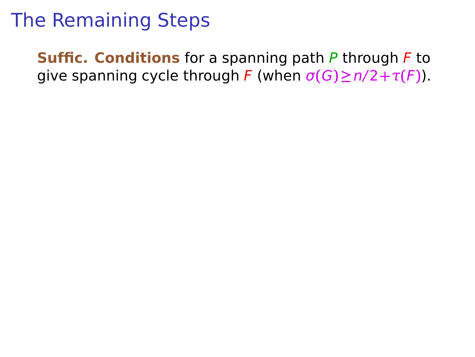**Suffic. Conditions** for a spanning path P through F to give spanning cycle through F (when  $\sigma(G) \ge n/2 + \tau(F)$ ).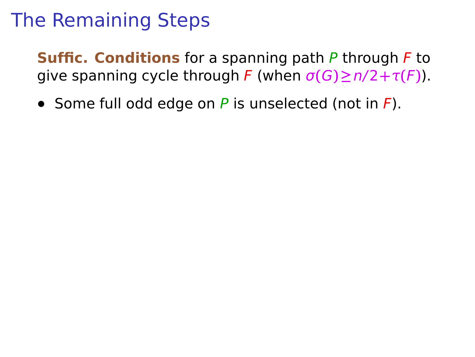**Suffic. Conditions** for a spanning path P through F to give spanning cycle through F (when  $\sigma(G) \ge n/2 + \tau(F)$ ).

**•** Some full odd edge on P is unselected (not in F).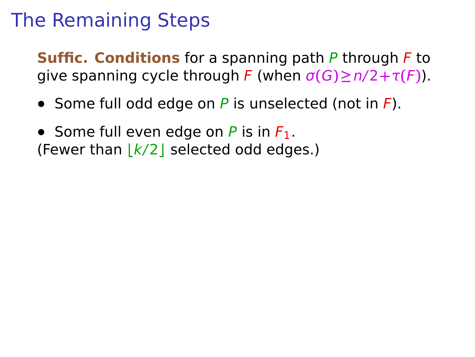**Suffic. Conditions** for a spanning path P through F to give spanning cycle through F (when  $\sigma(G) \ge n/2 + \tau(F)$ ).

- **•** Some full odd edge on P is unselected (not in F).
- Some full even edge on  $P$  is in  $F_1$ . (Fewer than **⌊**k/2**⌋** selected odd edges.)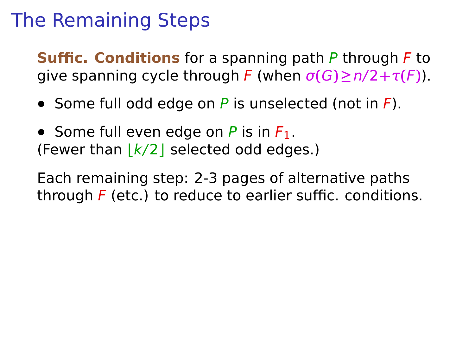**Suffic. Conditions** for a spanning path P through F to give spanning cycle through F (when  $\sigma(G) \ge n/2 + \tau(F)$ ).

- **•** Some full odd edge on P is unselected (not in F).
- Some full even edge on P is in F<sub>1</sub>. (Fewer than **⌊**k/2**⌋** selected odd edges.)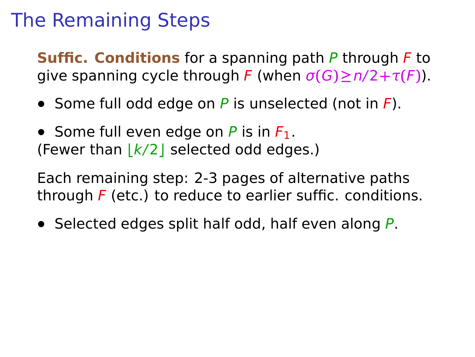**Suffic. Conditions** for a spanning path P through F to give spanning cycle through F (when  $\sigma(G) \ge n/2 + \tau(F)$ ).

- **•** Some full odd edge on P is unselected (not in F).
- Some full even edge on P is in F<sub>1</sub>. (Fewer than **⌊**k/2**⌋** selected odd edges.)

Each remaining step: 2-3 pages of alternative paths through  $F$  (etc.) to reduce to earlier suffic. conditions.

**•** Selected edges split half odd, half even along P.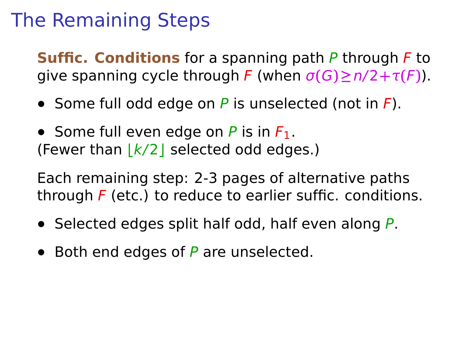**Suffic. Conditions** for a spanning path P through F to give spanning cycle through F (when  $\sigma(G) \ge n/2 + \tau(F)$ ).

- **•** Some full odd edge on P is unselected (not in F).
- Some full even edge on  $P$  is in  $F_1$ . (Fewer than **⌊**k/2**⌋** selected odd edges.)

- **•** Selected edges split half odd, half even along P.
- **•** Both end edges of P are unselected.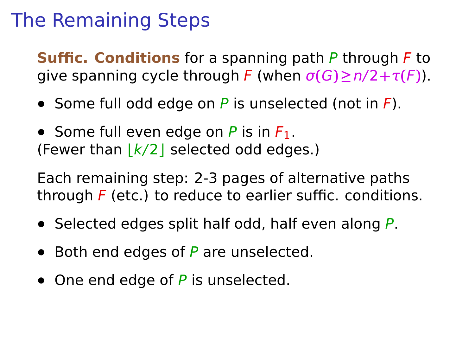**Suffic. Conditions** for a spanning path P through F to give spanning cycle through F (when  $\sigma(G) \ge n/2 + \tau(F)$ ).

- **•** Some full odd edge on P is unselected (not in F).
- Some full even edge on  $P$  is in  $F_1$ . (Fewer than **⌊**k/2**⌋** selected odd edges.)

- **•** Selected edges split half odd, half even along P.
- **•** Both end edges of P are unselected.
- One end edge of P is unselected.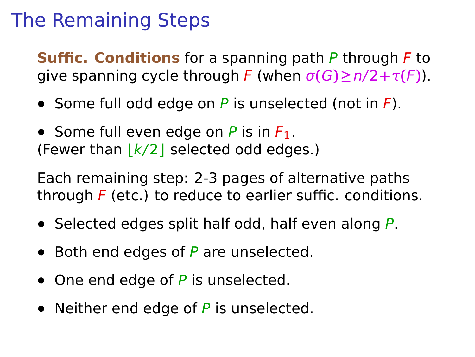**Suffic. Conditions** for a spanning path P through F to give spanning cycle through F (when  $\sigma(G) \ge n/2 + \tau(F)$ ).

- **•** Some full odd edge on P is unselected (not in F).
- Some full even edge on  $P$  is in  $F_1$ . (Fewer than **⌊**k/2**⌋** selected odd edges.)

- **•** Selected edges split half odd, half even along P.
- **•** Both end edges of P are unselected.
- One end edge of P is unselected.
- **•** Neither end edge of P is unselected.